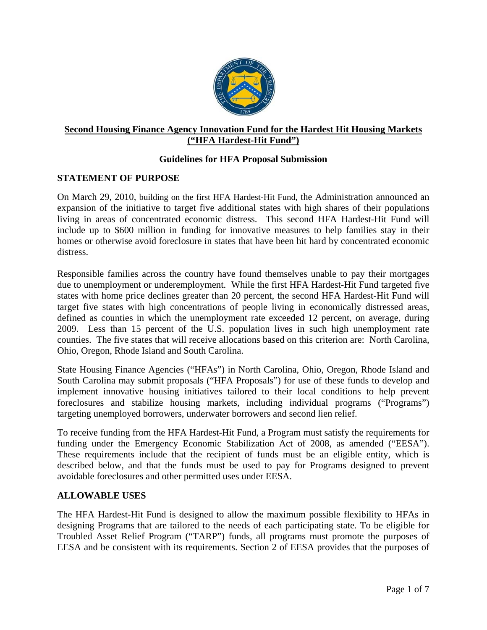

# **Second Housing Finance Agency Innovation Fund for the Hardest Hit Housing Markets ("HFA Hardest-Hit Fund")**

# **Guidelines for HFA Proposal Submission**

#### **STATEMENT OF PURPOSE**

On March 29, 2010, building on the first HFA Hardest-Hit Fund, the Administration announced an expansion of the initiative to target five additional states with high shares of their populations living in areas of concentrated economic distress. This second HFA Hardest-Hit Fund will include up to \$600 million in funding for innovative measures to help families stay in their homes or otherwise avoid foreclosure in states that have been hit hard by concentrated economic distress.

Responsible families across the country have found themselves unable to pay their mortgages due to unemployment or underemployment. While the first HFA Hardest-Hit Fund targeted five states with home price declines greater than 20 percent, the second HFA Hardest-Hit Fund will target five states with high concentrations of people living in economically distressed areas, defined as counties in which the unemployment rate exceeded 12 percent, on average, during 2009. Less than 15 percent of the U.S. population lives in such high unemployment rate counties. The five states that will receive allocations based on this criterion are: North Carolina, Ohio, Oregon, Rhode Island and South Carolina.

State Housing Finance Agencies ("HFAs") in North Carolina, Ohio, Oregon, Rhode Island and South Carolina may submit proposals ("HFA Proposals") for use of these funds to develop and implement innovative housing initiatives tailored to their local conditions to help prevent foreclosures and stabilize housing markets, including individual programs ("Programs") targeting unemployed borrowers, underwater borrowers and second lien relief.

To receive funding from the HFA Hardest-Hit Fund, a Program must satisfy the requirements for funding under the Emergency Economic Stabilization Act of 2008, as amended ("EESA"). These requirements include that the recipient of funds must be an eligible entity, which is described below, and that the funds must be used to pay for Programs designed to prevent avoidable foreclosures and other permitted uses under EESA.

#### **ALLOWABLE USES**

The HFA Hardest-Hit Fund is designed to allow the maximum possible flexibility to HFAs in designing Programs that are tailored to the needs of each participating state. To be eligible for Troubled Asset Relief Program ("TARP") funds, all programs must promote the purposes of EESA and be consistent with its requirements. Section 2 of EESA provides that the purposes of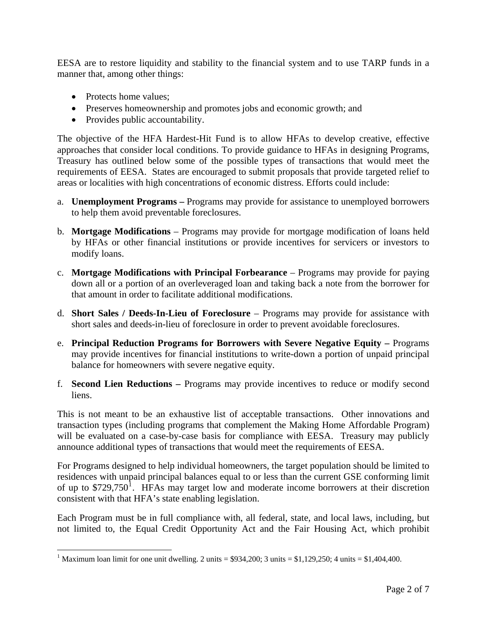EESA are to restore liquidity and stability to the financial system and to use TARP funds in a manner that, among other things:

- Protects home values;
- Preserves homeownership and promotes jobs and economic growth; and
- Provides public accountability.

The objective of the HFA Hardest-Hit Fund is to allow HFAs to develop creative, effective approaches that consider local conditions. To provide guidance to HFAs in designing Programs, Treasury has outlined below some of the possible types of transactions that would meet the requirements of EESA. States are encouraged to submit proposals that provide targeted relief to areas or localities with high concentrations of economic distress. Efforts could include:

- a. **Unemployment Programs** Programs may provide for assistance to unemployed borrowers to help them avoid preventable foreclosures.
- b. **Mortgage Modifications**  Programs may provide for mortgage modification of loans held by HFAs or other financial institutions or provide incentives for servicers or investors to modify loans.
- c. **Mortgage Modifications with Principal Forbearance**  Programs may provide for paying down all or a portion of an overleveraged loan and taking back a note from the borrower for that amount in order to facilitate additional modifications.
- d. **Short Sales / Deeds-In-Lieu of Foreclosure**  Programs may provide for assistance with short sales and deeds-in-lieu of foreclosure in order to prevent avoidable foreclosures.
- e. **Principal Reduction Programs for Borrowers with Severe Negative Equity** Programs may provide incentives for financial institutions to write-down a portion of unpaid principal balance for homeowners with severe negative equity.
- f. **Second Lien Reductions** Programs may provide incentives to reduce or modify second liens.

This is not meant to be an exhaustive list of acceptable transactions. Other innovations and transaction types (including programs that complement the Making Home Affordable Program) will be evaluated on a case-by-case basis for compliance with EESA. Treasury may publicly announce additional types of transactions that would meet the requirements of EESA.

For Programs designed to help individual homeowners, the target population should be limited to residences with unpaid principal balances equal to or less than the current GSE conforming limit of up to  $$729,750$ <sup>[1](#page-1-0)</sup>. HFAs may target low and moderate income borrowers at their discretion consistent with that HFA's state enabling legislation.

Each Program must be in full compliance with, all federal, state, and local laws, including, but not limited to, the Equal Credit Opportunity Act and the Fair Housing Act, which prohibit

<span id="page-1-0"></span><sup>&</sup>lt;sup>1</sup> Maximum loan limit for one unit dwelling. 2 units = \$934,200; 3 units = \$1,129,250; 4 units = \$1,404,400.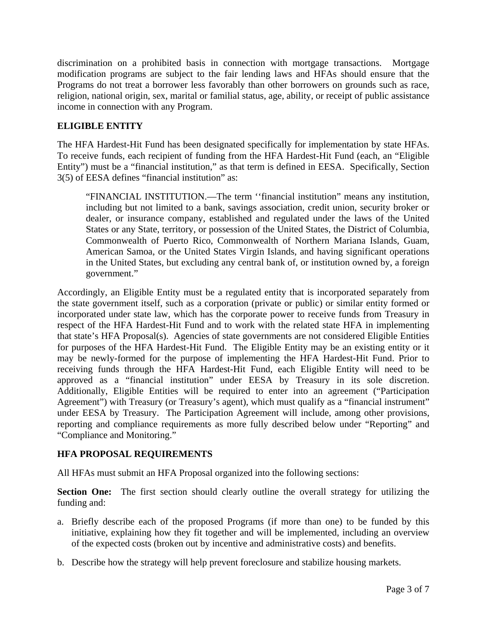discrimination on a prohibited basis in connection with mortgage transactions. Mortgage modification programs are subject to the fair lending laws and HFAs should ensure that the Programs do not treat a borrower less favorably than other borrowers on grounds such as race, religion, national origin, sex, marital or familial status, age, ability, or receipt of public assistance income in connection with any Program.

# **ELIGIBLE ENTITY**

The HFA Hardest-Hit Fund has been designated specifically for implementation by state HFAs. To receive funds, each recipient of funding from the HFA Hardest-Hit Fund (each, an "Eligible Entity") must be a "financial institution," as that term is defined in EESA. Specifically, Section 3(5) of EESA defines "financial institution" as:

"FINANCIAL INSTITUTION.—The term ''financial institution" means any institution, including but not limited to a bank, savings association, credit union, security broker or dealer, or insurance company, established and regulated under the laws of the United States or any State, territory, or possession of the United States, the District of Columbia, Commonwealth of Puerto Rico, Commonwealth of Northern Mariana Islands, Guam, American Samoa, or the United States Virgin Islands, and having significant operations in the United States, but excluding any central bank of, or institution owned by, a foreign government."

Accordingly, an Eligible Entity must be a regulated entity that is incorporated separately from the state government itself, such as a corporation (private or public) or similar entity formed or incorporated under state law, which has the corporate power to receive funds from Treasury in respect of the HFA Hardest-Hit Fund and to work with the related state HFA in implementing that state's HFA Proposal(s). Agencies of state governments are not considered Eligible Entities for purposes of the HFA Hardest-Hit Fund. The Eligible Entity may be an existing entity or it may be newly-formed for the purpose of implementing the HFA Hardest-Hit Fund. Prior to receiving funds through the HFA Hardest-Hit Fund, each Eligible Entity will need to be approved as a "financial institution" under EESA by Treasury in its sole discretion. Additionally, Eligible Entities will be required to enter into an agreement ("Participation Agreement") with Treasury (or Treasury's agent), which must qualify as a "financial instrument" under EESA by Treasury. The Participation Agreement will include, among other provisions, reporting and compliance requirements as more fully described below under "Reporting" and "Compliance and Monitoring."

# **HFA PROPOSAL REQUIREMENTS**

All HFAs must submit an HFA Proposal organized into the following sections:

**Section One:** The first section should clearly outline the overall strategy for utilizing the funding and:

- a. Briefly describe each of the proposed Programs (if more than one) to be funded by this initiative, explaining how they fit together and will be implemented, including an overview of the expected costs (broken out by incentive and administrative costs) and benefits.
- b. Describe how the strategy will help prevent foreclosure and stabilize housing markets.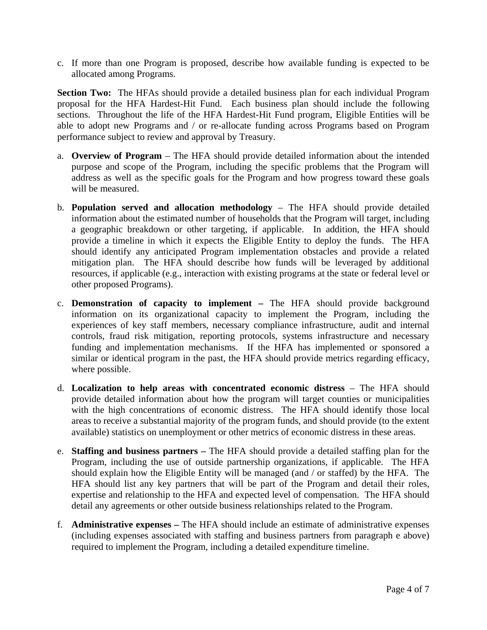c. If more than one Program is proposed, describe how available funding is expected to be allocated among Programs.

**Section Two:** The HFAs should provide a detailed business plan for each individual Program proposal for the HFA Hardest-Hit Fund. Each business plan should include the following sections. Throughout the life of the HFA Hardest-Hit Fund program, Eligible Entities will be able to adopt new Programs and / or re-allocate funding across Programs based on Program performance subject to review and approval by Treasury.

- a. **Overview of Program** The HFA should provide detailed information about the intended purpose and scope of the Program, including the specific problems that the Program will address as well as the specific goals for the Program and how progress toward these goals will be measured.
- b. **Population served and allocation methodology**  The HFA should provide detailed information about the estimated number of households that the Program will target, including a geographic breakdown or other targeting, if applicable. In addition, the HFA should provide a timeline in which it expects the Eligible Entity to deploy the funds. The HFA should identify any anticipated Program implementation obstacles and provide a related mitigation plan. The HFA should describe how funds will be leveraged by additional resources, if applicable (e.g., interaction with existing programs at the state or federal level or other proposed Programs).
- c. **Demonstration of capacity to implement** The HFA should provide background information on its organizational capacity to implement the Program, including the experiences of key staff members, necessary compliance infrastructure, audit and internal controls, fraud risk mitigation, reporting protocols, systems infrastructure and necessary funding and implementation mechanisms. If the HFA has implemented or sponsored a similar or identical program in the past, the HFA should provide metrics regarding efficacy, where possible.
- d. **Localization to help areas with concentrated economic distress**  The HFA should provide detailed information about how the program will target counties or municipalities with the high concentrations of economic distress. The HFA should identify those local areas to receive a substantial majority of the program funds, and should provide (to the extent available) statistics on unemployment or other metrics of economic distress in these areas.
- e. **Staffing and business partners** The HFA should provide a detailed staffing plan for the Program, including the use of outside partnership organizations, if applicable. The HFA should explain how the Eligible Entity will be managed (and / or staffed) by the HFA. The HFA should list any key partners that will be part of the Program and detail their roles, expertise and relationship to the HFA and expected level of compensation. The HFA should detail any agreements or other outside business relationships related to the Program.
- f. **Administrative expenses** The HFA should include an estimate of administrative expenses (including expenses associated with staffing and business partners from paragraph e above) required to implement the Program, including a detailed expenditure timeline.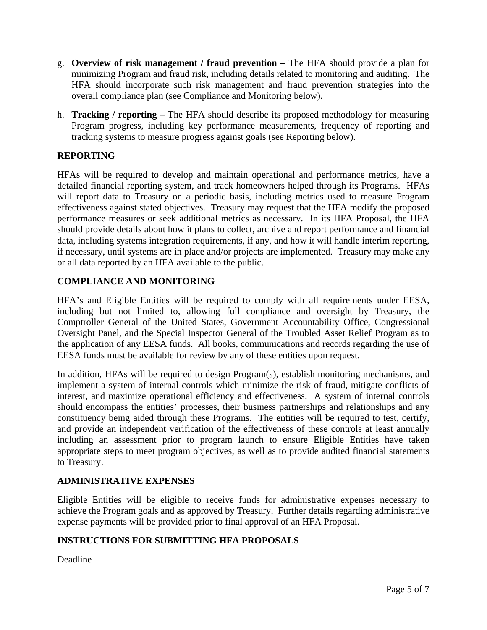- g. **Overview of risk management / fraud prevention** The HFA should provide a plan for minimizing Program and fraud risk, including details related to monitoring and auditing. The HFA should incorporate such risk management and fraud prevention strategies into the overall compliance plan (see Compliance and Monitoring below).
- h. **Tracking / reporting**  The HFA should describe its proposed methodology for measuring Program progress, including key performance measurements, frequency of reporting and tracking systems to measure progress against goals (see Reporting below).

# **REPORTING**

HFAs will be required to develop and maintain operational and performance metrics, have a detailed financial reporting system, and track homeowners helped through its Programs. HFAs will report data to Treasury on a periodic basis, including metrics used to measure Program effectiveness against stated objectives. Treasury may request that the HFA modify the proposed performance measures or seek additional metrics as necessary. In its HFA Proposal, the HFA should provide details about how it plans to collect, archive and report performance and financial data, including systems integration requirements, if any, and how it will handle interim reporting, if necessary, until systems are in place and/or projects are implemented. Treasury may make any or all data reported by an HFA available to the public.

# **COMPLIANCE AND MONITORING**

HFA's and Eligible Entities will be required to comply with all requirements under EESA, including but not limited to, allowing full compliance and oversight by Treasury, the Comptroller General of the United States, Government Accountability Office, Congressional Oversight Panel, and the Special Inspector General of the Troubled Asset Relief Program as to the application of any EESA funds. All books, communications and records regarding the use of EESA funds must be available for review by any of these entities upon request.

In addition, HFAs will be required to design Program(s), establish monitoring mechanisms, and implement a system of internal controls which minimize the risk of fraud, mitigate conflicts of interest, and maximize operational efficiency and effectiveness. A system of internal controls should encompass the entities' processes, their business partnerships and relationships and any constituency being aided through these Programs. The entities will be required to test, certify, and provide an independent verification of the effectiveness of these controls at least annually including an assessment prior to program launch to ensure Eligible Entities have taken appropriate steps to meet program objectives, as well as to provide audited financial statements to Treasury.

# **ADMINISTRATIVE EXPENSES**

Eligible Entities will be eligible to receive funds for administrative expenses necessary to achieve the Program goals and as approved by Treasury. Further details regarding administrative expense payments will be provided prior to final approval of an HFA Proposal.

# **INSTRUCTIONS FOR SUBMITTING HFA PROPOSALS**

Deadline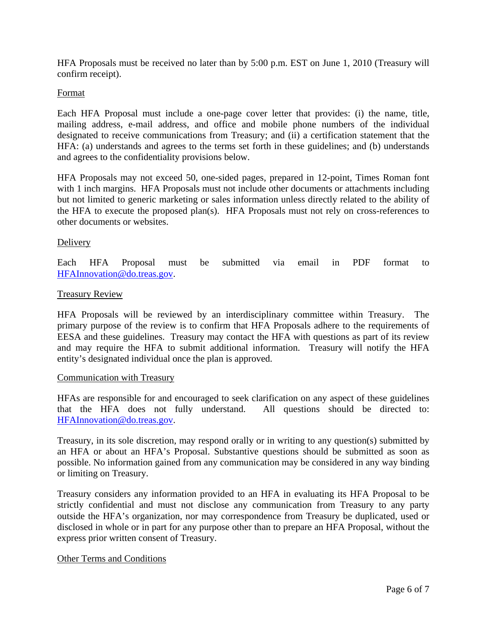HFA Proposals must be received no later than by 5:00 p.m. EST on June 1, 2010 (Treasury will confirm receipt).

#### Format

Each HFA Proposal must include a one-page cover letter that provides: (i) the name, title, mailing address, e-mail address, and office and mobile phone numbers of the individual designated to receive communications from Treasury; and (ii) a certification statement that the HFA: (a) understands and agrees to the terms set forth in these guidelines; and (b) understands and agrees to the confidentiality provisions below.

HFA Proposals may not exceed 50, one-sided pages, prepared in 12-point, Times Roman font with 1 inch margins. HFA Proposals must not include other documents or attachments including but not limited to generic marketing or sales information unless directly related to the ability of the HFA to execute the proposed plan(s). HFA Proposals must not rely on cross-references to other documents or websites.

#### Delivery

Each HFA Proposal must be submitted via email in PDF format to [HFAInnovation@do.treas.gov.](mailto:HFAInnovation@do.treas.gov)

#### Treasury Review

HFA Proposals will be reviewed by an interdisciplinary committee within Treasury. The primary purpose of the review is to confirm that HFA Proposals adhere to the requirements of EESA and these guidelines. Treasury may contact the HFA with questions as part of its review and may require the HFA to submit additional information. Treasury will notify the HFA entity's designated individual once the plan is approved.

#### Communication with Treasury

HFAs are responsible for and encouraged to seek clarification on any aspect of these guidelines that the HFA does not fully understand. All questions should be directed to: [HFAInnovation@do.treas.gov.](mailto:HFAInnovation@do.treas.gov)

Treasury, in its sole discretion, may respond orally or in writing to any question(s) submitted by an HFA or about an HFA's Proposal. Substantive questions should be submitted as soon as possible. No information gained from any communication may be considered in any way binding or limiting on Treasury.

Treasury considers any information provided to an HFA in evaluating its HFA Proposal to be strictly confidential and must not disclose any communication from Treasury to any party outside the HFA's organization, nor may correspondence from Treasury be duplicated, used or disclosed in whole or in part for any purpose other than to prepare an HFA Proposal, without the express prior written consent of Treasury.

#### Other Terms and Conditions